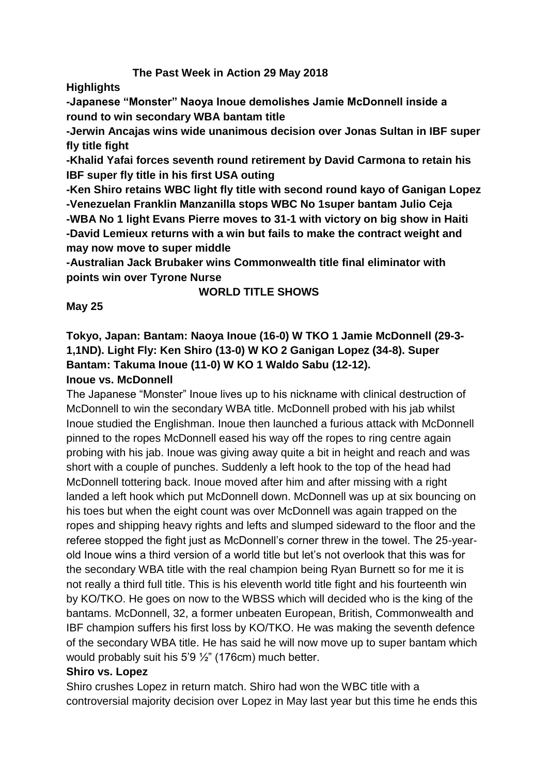# **The Past Week in Action 29 May 2018**

**Highlights**

**-Japanese "Monster" Naoya Inoue demolishes Jamie McDonnell inside a round to win secondary WBA bantam title**

**-Jerwin Ancajas wins wide unanimous decision over Jonas Sultan in IBF super fly title fight**

**-Khalid Yafai forces seventh round retirement by David Carmona to retain his IBF super fly title in his first USA outing**

**-Ken Shiro retains WBC light fly title with second round kayo of Ganigan Lopez -Venezuelan Franklin Manzanilla stops WBC No 1super bantam Julio Ceja -WBA No 1 light Evans Pierre moves to 31-1 with victory on big show in Haiti -David Lemieux returns with a win but fails to make the contract weight and may now move to super middle**

**-Australian Jack Brubaker wins Commonwealth title final eliminator with points win over Tyrone Nurse**

### **WORLD TITLE SHOWS**

### **May 25**

**Tokyo, Japan: Bantam: Naoya Inoue (16-0) W TKO 1 Jamie McDonnell (29-3- 1,1ND). Light Fly: Ken Shiro (13-0) W KO 2 Ganigan Lopez (34-8). Super Bantam: Takuma Inoue (11-0) W KO 1 Waldo Sabu (12-12). Inoue vs. McDonnell**

The Japanese "Monster" Inoue lives up to his nickname with clinical destruction of McDonnell to win the secondary WBA title. McDonnell probed with his jab whilst Inoue studied the Englishman. Inoue then launched a furious attack with McDonnell pinned to the ropes McDonnell eased his way off the ropes to ring centre again probing with his jab. Inoue was giving away quite a bit in height and reach and was short with a couple of punches. Suddenly a left hook to the top of the head had McDonnell tottering back. Inoue moved after him and after missing with a right landed a left hook which put McDonnell down. McDonnell was up at six bouncing on his toes but when the eight count was over McDonnell was again trapped on the ropes and shipping heavy rights and lefts and slumped sideward to the floor and the referee stopped the fight just as McDonnell's corner threw in the towel. The 25-yearold Inoue wins a third version of a world title but let's not overlook that this was for the secondary WBA title with the real champion being Ryan Burnett so for me it is not really a third full title. This is his eleventh world title fight and his fourteenth win by KO/TKO. He goes on now to the WBSS which will decided who is the king of the bantams. McDonnell, 32, a former unbeaten European, British, Commonwealth and IBF champion suffers his first loss by KO/TKO. He was making the seventh defence of the secondary WBA title. He has said he will now move up to super bantam which would probably suit his 5'9 ½" (176cm) much better.

#### **Shiro vs. Lopez**

Shiro crushes Lopez in return match. Shiro had won the WBC title with a controversial majority decision over Lopez in May last year but this time he ends this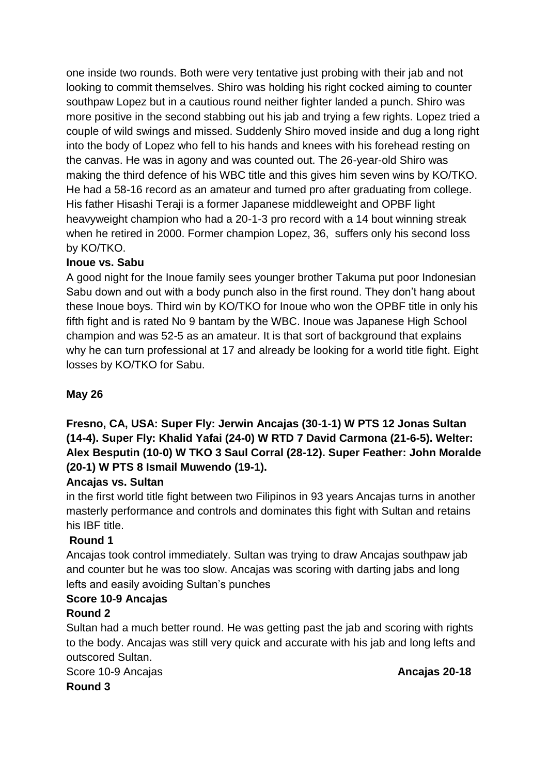one inside two rounds. Both were very tentative just probing with their jab and not looking to commit themselves. Shiro was holding his right cocked aiming to counter southpaw Lopez but in a cautious round neither fighter landed a punch. Shiro was more positive in the second stabbing out his jab and trying a few rights. Lopez tried a couple of wild swings and missed. Suddenly Shiro moved inside and dug a long right into the body of Lopez who fell to his hands and knees with his forehead resting on the canvas. He was in agony and was counted out. The 26-year-old Shiro was making the third defence of his WBC title and this gives him seven wins by KO/TKO. He had a 58-16 record as an amateur and turned pro after graduating from college. His father Hisashi Teraji is a former Japanese middleweight and OPBF light heavyweight champion who had a 20-1-3 pro record with a 14 bout winning streak when he retired in 2000. Former champion Lopez, 36, suffers only his second loss by KO/TKO.

# **Inoue vs. Sabu**

A good night for the Inoue family sees younger brother Takuma put poor Indonesian Sabu down and out with a body punch also in the first round. They don't hang about these Inoue boys. Third win by KO/TKO for Inoue who won the OPBF title in only his fifth fight and is rated No 9 bantam by the WBC. Inoue was Japanese High School champion and was 52-5 as an amateur. It is that sort of background that explains why he can turn professional at 17 and already be looking for a world title fight. Eight losses by KO/TKO for Sabu.

# **May 26**

**Fresno, CA, USA: Super Fly: Jerwin Ancajas (30-1-1) W PTS 12 Jonas Sultan (14-4). Super Fly: Khalid Yafai (24-0) W RTD 7 David Carmona (21-6-5). Welter: Alex Besputin (10-0) W TKO 3 Saul Corral (28-12). Super Feather: John Moralde (20-1) W PTS 8 Ismail Muwendo (19-1).**

# **Ancajas vs. Sultan**

in the first world title fight between two Filipinos in 93 years Ancajas turns in another masterly performance and controls and dominates this fight with Sultan and retains his IBF title.

# **Round 1**

Ancajas took control immediately. Sultan was trying to draw Ancajas southpaw jab and counter but he was too slow. Ancajas was scoring with darting jabs and long lefts and easily avoiding Sultan's punches

# **Score 10-9 Ancajas**

#### **Round 2**

Sultan had a much better round. He was getting past the jab and scoring with rights to the body. Ancajas was still very quick and accurate with his jab and long lefts and outscored Sultan.

Score 10-9 Ancajas **Ancajas 20-18 Round 3**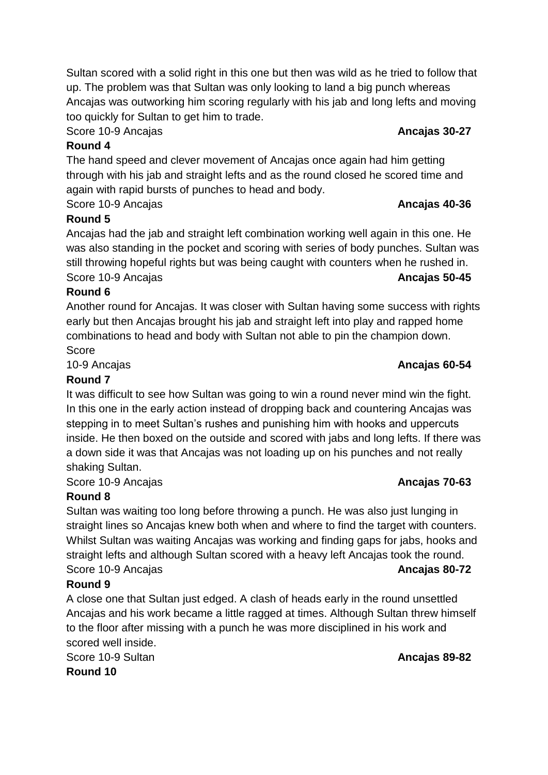Score 10-9 Ancajas **Ancajas 30-27**

# **Round 4**

The hand speed and clever movement of Ancajas once again had him getting through with his jab and straight lefts and as the round closed he scored time and again with rapid bursts of punches to head and body.

Sultan scored with a solid right in this one but then was wild as he tried to follow that

Score 10-9 Ancajas **Ancajas 40-36**

# **Round 5**

Ancajas had the jab and straight left combination working well again in this one. He was also standing in the pocket and scoring with series of body punches. Sultan was still throwing hopeful rights but was being caught with counters when he rushed in. Score 10-9 Ancajas **Ancajas 1999 Ancajas 50-45** 

# **Round 6**

Another round for Ancajas. It was closer with Sultan having some success with rights early but then Ancajas brought his jab and straight left into play and rapped home combinations to head and body with Sultan not able to pin the champion down. Score

10-9 Ancajas **Ancajas 60-54**

# **Round 7**

It was difficult to see how Sultan was going to win a round never mind win the fight. In this one in the early action instead of dropping back and countering Ancajas was stepping in to meet Sultan's rushes and punishing him with hooks and uppercuts inside. He then boxed on the outside and scored with jabs and long lefts. If there was a down side it was that Ancajas was not loading up on his punches and not really shaking Sultan.

Score 10-9 Ancajas **Ancajas 70-63**

# **Round 8**

Sultan was waiting too long before throwing a punch. He was also just lunging in straight lines so Ancajas knew both when and where to find the target with counters. Whilst Sultan was waiting Ancajas was working and finding gaps for jabs, hooks and straight lefts and although Sultan scored with a heavy left Ancajas took the round. Score 10-9 Ancajas **Ancajas 80-72**

# **Round 9**

A close one that Sultan just edged. A clash of heads early in the round unsettled Ancajas and his work became a little ragged at times. Although Sultan threw himself to the floor after missing with a punch he was more disciplined in his work and scored well inside.

Score 10-9 Sultan **Ancajas 89-82** 

**Round 10**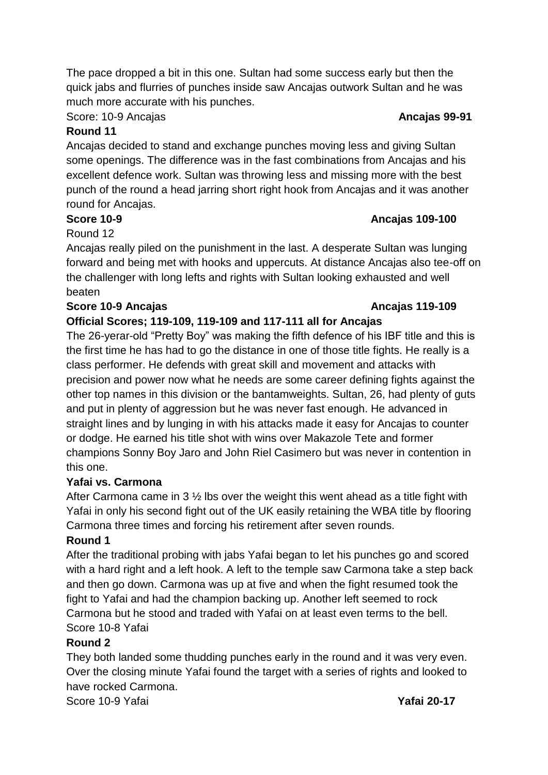The pace dropped a bit in this one. Sultan had some success early but then the quick jabs and flurries of punches inside saw Ancajas outwork Sultan and he was much more accurate with his punches.

Score: 10-9 Ancajas **Ancajas 99-91**

### **Round 11**

Ancajas decided to stand and exchange punches moving less and giving Sultan some openings. The difference was in the fast combinations from Ancajas and his excellent defence work. Sultan was throwing less and missing more with the best punch of the round a head jarring short right hook from Ancajas and it was another round for Ancajas.

### **Score 10-9 Ancajas 109-100**

### Round 12

Ancajas really piled on the punishment in the last. A desperate Sultan was lunging forward and being met with hooks and uppercuts. At distance Ancajas also tee-off on the challenger with long lefts and rights with Sultan looking exhausted and well beaten

### **Score 10-9 Ancajas Ancajas Ancajas 119-109**

# **Official Scores; 119-109, 119-109 and 117-111 all for Ancajas**

The 26-yerar-old "Pretty Boy" was making the fifth defence of his IBF title and this is the first time he has had to go the distance in one of those title fights. He really is a class performer. He defends with great skill and movement and attacks with precision and power now what he needs are some career defining fights against the other top names in this division or the bantamweights. Sultan, 26, had plenty of guts and put in plenty of aggression but he was never fast enough. He advanced in straight lines and by lunging in with his attacks made it easy for Ancajas to counter or dodge. He earned his title shot with wins over Makazole Tete and former champions Sonny Boy Jaro and John Riel Casimero but was never in contention in this one.

#### **Yafai vs. Carmona**

After Carmona came in 3 ½ lbs over the weight this went ahead as a title fight with Yafai in only his second fight out of the UK easily retaining the WBA title by flooring Carmona three times and forcing his retirement after seven rounds.

#### **Round 1**

After the traditional probing with jabs Yafai began to let his punches go and scored with a hard right and a left hook. A left to the temple saw Carmona take a step back and then go down. Carmona was up at five and when the fight resumed took the fight to Yafai and had the champion backing up. Another left seemed to rock Carmona but he stood and traded with Yafai on at least even terms to the bell. Score 10-8 Yafai

#### **Round 2**

They both landed some thudding punches early in the round and it was very even. Over the closing minute Yafai found the target with a series of rights and looked to have rocked Carmona.

Score 10-9 Yafai **Yafai 20-17**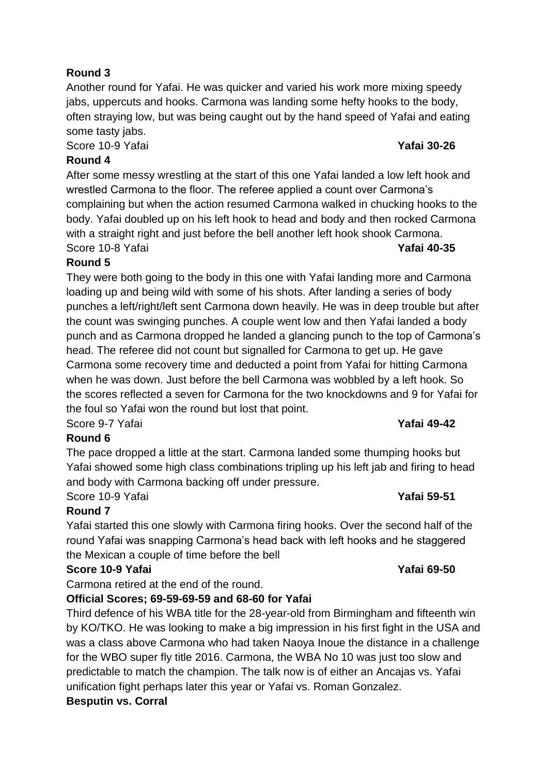# **Round 3**

Another round for Yafai. He was quicker and varied his work more mixing speedy jabs, uppercuts and hooks. Carmona was landing some hefty hooks to the body, often straying low, but was being caught out by the hand speed of Yafai and eating some tasty jabs.

Score 10-9 Yafai **Yafai 30-26**

#### **Round 4**

After some messy wrestling at the start of this one Yafai landed a low left hook and wrestled Carmona to the floor. The referee applied a count over Carmona's complaining but when the action resumed Carmona walked in chucking hooks to the body. Yafai doubled up on his left hook to head and body and then rocked Carmona with a straight right and just before the bell another left hook shook Carmona. Score 10-8 Yafai **Yafai 40-35**

### **Round 5**

They were both going to the body in this one with Yafai landing more and Carmona loading up and being wild with some of his shots. After landing a series of body punches a left/right/left sent Carmona down heavily. He was in deep trouble but after the count was swinging punches. A couple went low and then Yafai landed a body punch and as Carmona dropped he landed a glancing punch to the top of Carmona's head. The referee did not count but signalled for Carmona to get up. He gave Carmona some recovery time and deducted a point from Yafai for hitting Carmona when he was down. Just before the bell Carmona was wobbled by a left hook. So the scores reflected a seven for Carmona for the two knockdowns and 9 for Yafai for the foul so Yafai won the round but lost that point.

Score 9-7 Yafai **Yafai 49-42**

#### **Round 6**

The pace dropped a little at the start. Carmona landed some thumping hooks but Yafai showed some high class combinations tripling up his left jab and firing to head and body with Carmona backing off under pressure. Score 10-9 Yafai **Yafai 59-51**

# **Round 7**

Yafai started this one slowly with Carmona firing hooks. Over the second half of the round Yafai was snapping Carmona's head back with left hooks and he staggered the Mexican a couple of time before the bell

#### **Score 10-9 Yafai Yafai 69-50**

Carmona retired at the end of the round.

# **Official Scores; 69-59-69-59 and 68-60 for Yafai**

Third defence of his WBA title for the 28-year-old from Birmingham and fifteenth win by KO/TKO. He was looking to make a big impression in his first fight in the USA and was a class above Carmona who had taken Naoya Inoue the distance in a challenge for the WBO super fly title 2016. Carmona, the WBA No 10 was just too slow and predictable to match the champion. The talk now is of either an Ancajas vs. Yafai unification fight perhaps later this year or Yafai vs. Roman Gonzalez.

#### **Besputin vs. Corral**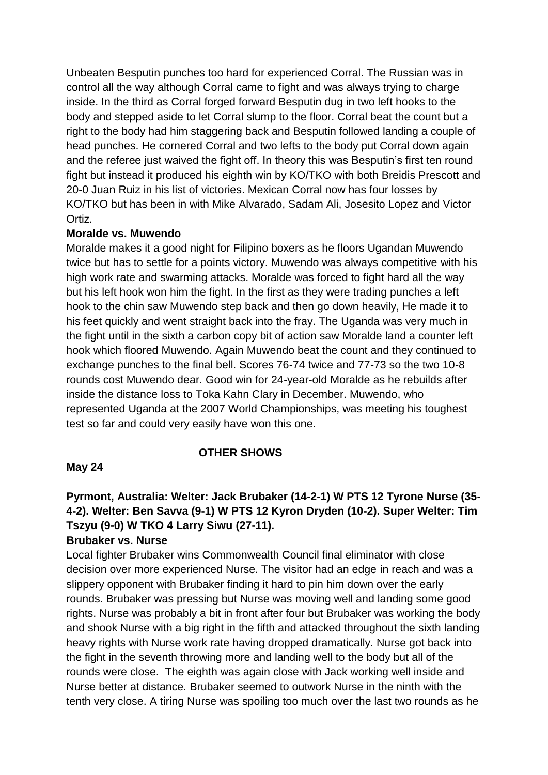Unbeaten Besputin punches too hard for experienced Corral. The Russian was in control all the way although Corral came to fight and was always trying to charge inside. In the third as Corral forged forward Besputin dug in two left hooks to the body and stepped aside to let Corral slump to the floor. Corral beat the count but a right to the body had him staggering back and Besputin followed landing a couple of head punches. He cornered Corral and two lefts to the body put Corral down again and the referee just waived the fight off. In theory this was Besputin's first ten round fight but instead it produced his eighth win by KO/TKO with both Breidis Prescott and 20-0 Juan Ruiz in his list of victories. Mexican Corral now has four losses by KO/TKO but has been in with Mike Alvarado, Sadam Ali, Josesito Lopez and Victor Ortiz.

#### **Moralde vs. Muwendo**

Moralde makes it a good night for Filipino boxers as he floors Ugandan Muwendo twice but has to settle for a points victory. Muwendo was always competitive with his high work rate and swarming attacks. Moralde was forced to fight hard all the way but his left hook won him the fight. In the first as they were trading punches a left hook to the chin saw Muwendo step back and then go down heavily, He made it to his feet quickly and went straight back into the fray. The Uganda was very much in the fight until in the sixth a carbon copy bit of action saw Moralde land a counter left hook which floored Muwendo. Again Muwendo beat the count and they continued to exchange punches to the final bell. Scores 76-74 twice and 77-73 so the two 10-8 rounds cost Muwendo dear. Good win for 24-year-old Moralde as he rebuilds after inside the distance loss to Toka Kahn Clary in December. Muwendo, who represented Uganda at the 2007 World Championships, was meeting his toughest test so far and could very easily have won this one.

#### **OTHER SHOWS**

#### **May 24**

# **Pyrmont, Australia: Welter: Jack Brubaker (14-2-1) W PTS 12 Tyrone Nurse (35- 4-2). Welter: Ben Savva (9-1) W PTS 12 Kyron Dryden (10-2). Super Welter: Tim Tszyu (9-0) W TKO 4 Larry Siwu (27-11).**

#### **Brubaker vs. Nurse**

Local fighter Brubaker wins Commonwealth Council final eliminator with close decision over more experienced Nurse. The visitor had an edge in reach and was a slippery opponent with Brubaker finding it hard to pin him down over the early rounds. Brubaker was pressing but Nurse was moving well and landing some good rights. Nurse was probably a bit in front after four but Brubaker was working the body and shook Nurse with a big right in the fifth and attacked throughout the sixth landing heavy rights with Nurse work rate having dropped dramatically. Nurse got back into the fight in the seventh throwing more and landing well to the body but all of the rounds were close. The eighth was again close with Jack working well inside and Nurse better at distance. Brubaker seemed to outwork Nurse in the ninth with the tenth very close. A tiring Nurse was spoiling too much over the last two rounds as he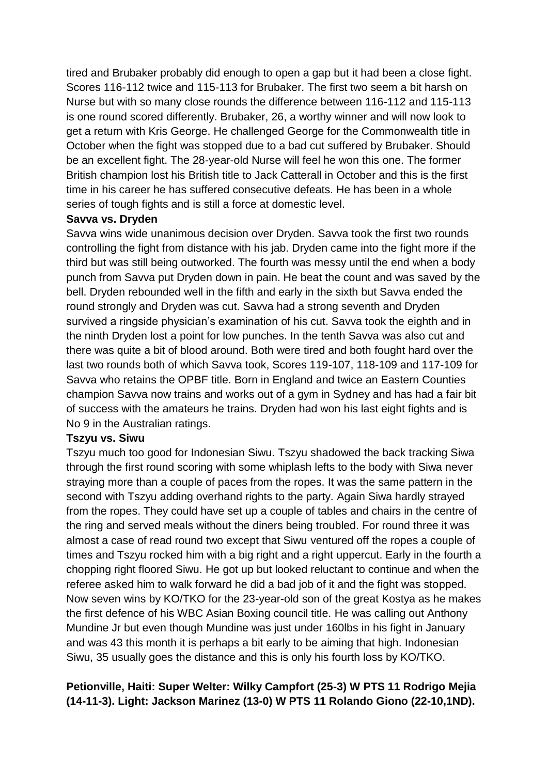tired and Brubaker probably did enough to open a gap but it had been a close fight. Scores 116-112 twice and 115-113 for Brubaker. The first two seem a bit harsh on Nurse but with so many close rounds the difference between 116-112 and 115-113 is one round scored differently. Brubaker, 26, a worthy winner and will now look to get a return with Kris George. He challenged George for the Commonwealth title in October when the fight was stopped due to a bad cut suffered by Brubaker. Should be an excellent fight. The 28-year-old Nurse will feel he won this one. The former British champion lost his British title to Jack Catterall in October and this is the first time in his career he has suffered consecutive defeats. He has been in a whole series of tough fights and is still a force at domestic level.

#### **Savva vs. Dryden**

Savva wins wide unanimous decision over Dryden. Savva took the first two rounds controlling the fight from distance with his jab. Dryden came into the fight more if the third but was still being outworked. The fourth was messy until the end when a body punch from Savva put Dryden down in pain. He beat the count and was saved by the bell. Dryden rebounded well in the fifth and early in the sixth but Savva ended the round strongly and Dryden was cut. Savva had a strong seventh and Dryden survived a ringside physician's examination of his cut. Savva took the eighth and in the ninth Dryden lost a point for low punches. In the tenth Savva was also cut and there was quite a bit of blood around. Both were tired and both fought hard over the last two rounds both of which Savva took, Scores 119-107, 118-109 and 117-109 for Savva who retains the OPBF title. Born in England and twice an Eastern Counties champion Savva now trains and works out of a gym in Sydney and has had a fair bit of success with the amateurs he trains. Dryden had won his last eight fights and is No 9 in the Australian ratings.

#### **Tszyu vs. Siwu**

Tszyu much too good for Indonesian Siwu. Tszyu shadowed the back tracking Siwa through the first round scoring with some whiplash lefts to the body with Siwa never straying more than a couple of paces from the ropes. It was the same pattern in the second with Tszyu adding overhand rights to the party. Again Siwa hardly strayed from the ropes. They could have set up a couple of tables and chairs in the centre of the ring and served meals without the diners being troubled. For round three it was almost a case of read round two except that Siwu ventured off the ropes a couple of times and Tszyu rocked him with a big right and a right uppercut. Early in the fourth a chopping right floored Siwu. He got up but looked reluctant to continue and when the referee asked him to walk forward he did a bad job of it and the fight was stopped. Now seven wins by KO/TKO for the 23-year-old son of the great Kostya as he makes the first defence of his WBC Asian Boxing council title. He was calling out Anthony Mundine Jr but even though Mundine was just under 160lbs in his fight in January and was 43 this month it is perhaps a bit early to be aiming that high. Indonesian Siwu, 35 usually goes the distance and this is only his fourth loss by KO/TKO.

### **Petionville, Haiti: Super Welter: Wilky Campfort (25-3) W PTS 11 Rodrigo Mejia (14-11-3). Light: Jackson Marinez (13-0) W PTS 11 Rolando Giono (22-10,1ND).**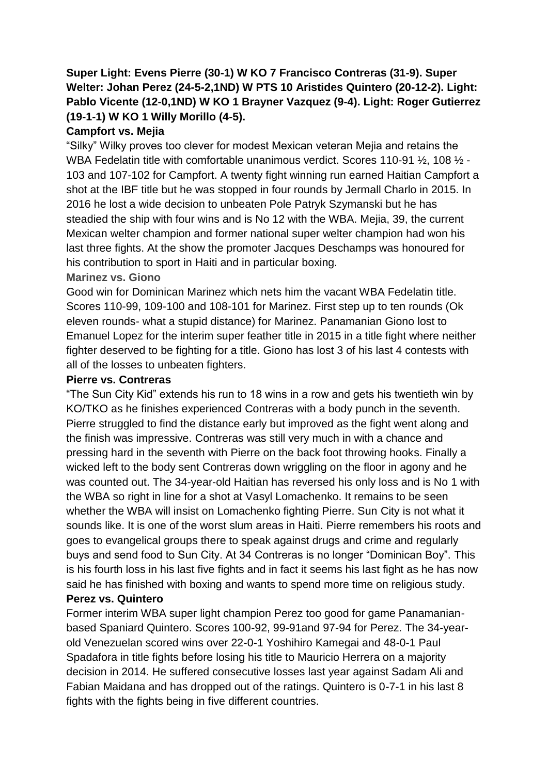# **Super Light: Evens Pierre (30-1) W KO 7 Francisco Contreras (31-9). Super Welter: Johan Perez (24-5-2,1ND) W PTS 10 Aristides Quintero (20-12-2). Light: Pablo Vicente (12-0,1ND) W KO 1 Brayner Vazquez (9-4). Light: Roger Gutierrez (19-1-1) W KO 1 Willy Morillo (4-5).**

### **Campfort vs. Mejia**

"Silky" Wilky proves too clever for modest Mexican veteran Mejia and retains the WBA Fedelatin title with comfortable unanimous verdict. Scores 110-91  $\frac{1}{2}$ , 108  $\frac{1}{2}$  -103 and 107-102 for Campfort. A twenty fight winning run earned Haitian Campfort a shot at the IBF title but he was stopped in four rounds by Jermall Charlo in 2015. In 2016 he lost a wide decision to unbeaten Pole Patryk Szymanski but he has steadied the ship with four wins and is No 12 with the WBA. Mejia, 39, the current Mexican welter champion and former national super welter champion had won his last three fights. At the show the promoter Jacques Deschamps was honoured for his contribution to sport in Haiti and in particular boxing.

#### **Marinez vs. Giono**

Good win for Dominican Marinez which nets him the vacant WBA Fedelatin title. Scores 110-99, 109-100 and 108-101 for Marinez. First step up to ten rounds (Ok eleven rounds- what a stupid distance) for Marinez. Panamanian Giono lost to Emanuel Lopez for the interim super feather title in 2015 in a title fight where neither fighter deserved to be fighting for a title. Giono has lost 3 of his last 4 contests with all of the losses to unbeaten fighters.

#### **Pierre vs. Contreras**

"The Sun City Kid" extends his run to 18 wins in a row and gets his twentieth win by KO/TKO as he finishes experienced Contreras with a body punch in the seventh. Pierre struggled to find the distance early but improved as the fight went along and the finish was impressive. Contreras was still very much in with a chance and pressing hard in the seventh with Pierre on the back foot throwing hooks. Finally a wicked left to the body sent Contreras down wriggling on the floor in agony and he was counted out. The 34-year-old Haitian has reversed his only loss and is No 1 with the WBA so right in line for a shot at Vasyl Lomachenko. It remains to be seen whether the WBA will insist on Lomachenko fighting Pierre. Sun City is not what it sounds like. It is one of the worst slum areas in Haiti. Pierre remembers his roots and goes to evangelical groups there to speak against drugs and crime and regularly buys and send food to Sun City. At 34 Contreras is no longer "Dominican Boy". This is his fourth loss in his last five fights and in fact it seems his last fight as he has now said he has finished with boxing and wants to spend more time on religious study. **Perez vs. Quintero**

Former interim WBA super light champion Perez too good for game Panamanianbased Spaniard Quintero. Scores 100-92, 99-91and 97-94 for Perez. The 34-yearold Venezuelan scored wins over 22-0-1 Yoshihiro Kamegai and 48-0-1 Paul Spadafora in title fights before losing his title to Mauricio Herrera on a majority decision in 2014. He suffered consecutive losses last year against Sadam Ali and Fabian Maidana and has dropped out of the ratings. Quintero is 0-7-1 in his last 8 fights with the fights being in five different countries.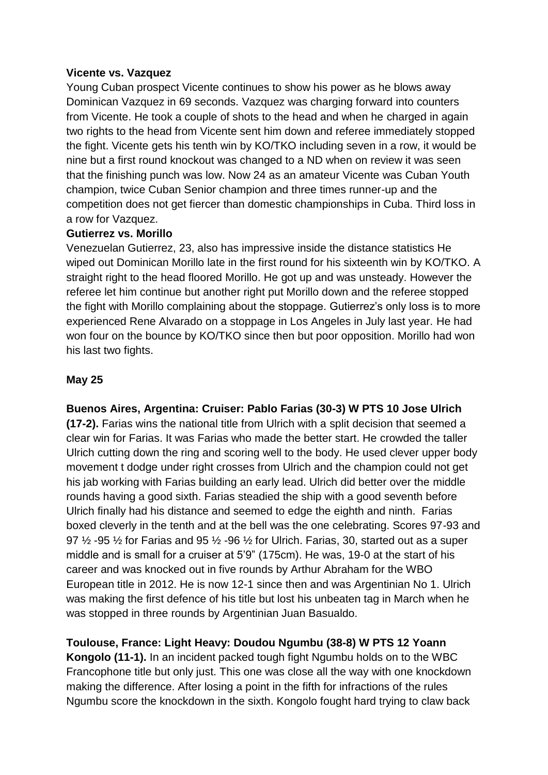#### **Vicente vs. Vazquez**

Young Cuban prospect Vicente continues to show his power as he blows away Dominican Vazquez in 69 seconds. Vazquez was charging forward into counters from Vicente. He took a couple of shots to the head and when he charged in again two rights to the head from Vicente sent him down and referee immediately stopped the fight. Vicente gets his tenth win by KO/TKO including seven in a row, it would be nine but a first round knockout was changed to a ND when on review it was seen that the finishing punch was low. Now 24 as an amateur Vicente was Cuban Youth champion, twice Cuban Senior champion and three times runner-up and the competition does not get fiercer than domestic championships in Cuba. Third loss in a row for Vazquez.

#### **Gutierrez vs. Morillo**

Venezuelan Gutierrez, 23, also has impressive inside the distance statistics He wiped out Dominican Morillo late in the first round for his sixteenth win by KO/TKO. A straight right to the head floored Morillo. He got up and was unsteady. However the referee let him continue but another right put Morillo down and the referee stopped the fight with Morillo complaining about the stoppage. Gutierrez's only loss is to more experienced Rene Alvarado on a stoppage in Los Angeles in July last year. He had won four on the bounce by KO/TKO since then but poor opposition. Morillo had won his last two fights.

#### **May 25**

**Buenos Aires, Argentina: Cruiser: Pablo Farias (30-3) W PTS 10 Jose Ulrich** 

**(17-2).** Farias wins the national title from Ulrich with a split decision that seemed a clear win for Farias. It was Farias who made the better start. He crowded the taller Ulrich cutting down the ring and scoring well to the body. He used clever upper body movement t dodge under right crosses from Ulrich and the champion could not get his jab working with Farias building an early lead. Ulrich did better over the middle rounds having a good sixth. Farias steadied the ship with a good seventh before Ulrich finally had his distance and seemed to edge the eighth and ninth. Farias boxed cleverly in the tenth and at the bell was the one celebrating. Scores 97-93 and 97  $\frac{1}{2}$  -95  $\frac{1}{2}$  for Farias and 95  $\frac{1}{2}$  -96  $\frac{1}{2}$  for Ulrich. Farias, 30, started out as a super middle and is small for a cruiser at 5'9" (175cm). He was, 19-0 at the start of his career and was knocked out in five rounds by Arthur Abraham for the WBO European title in 2012. He is now 12-1 since then and was Argentinian No 1. Ulrich was making the first defence of his title but lost his unbeaten tag in March when he was stopped in three rounds by Argentinian Juan Basualdo.

# **Toulouse, France: Light Heavy: Doudou Ngumbu (38-8) W PTS 12 Yoann**

**Kongolo (11-1).** In an incident packed tough fight Ngumbu holds on to the WBC Francophone title but only just. This one was close all the way with one knockdown making the difference. After losing a point in the fifth for infractions of the rules Ngumbu score the knockdown in the sixth. Kongolo fought hard trying to claw back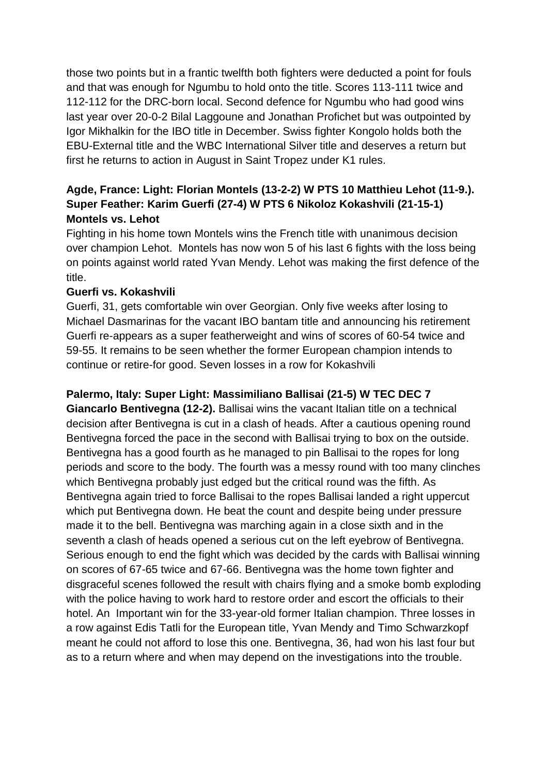those two points but in a frantic twelfth both fighters were deducted a point for fouls and that was enough for Ngumbu to hold onto the title. Scores 113-111 twice and 112-112 for the DRC-born local. Second defence for Ngumbu who had good wins last year over 20-0-2 Bilal Laggoune and Jonathan Profichet but was outpointed by Igor Mikhalkin for the IBO title in December. Swiss fighter Kongolo holds both the EBU-External title and the WBC International Silver title and deserves a return but first he returns to action in August in Saint Tropez under K1 rules.

# **Agde, France: Light: Florian Montels (13-2-2) W PTS 10 Matthieu Lehot (11-9.). Super Feather: Karim Guerfi (27-4) W PTS 6 Nikoloz Kokashvili (21-15-1) Montels vs. Lehot**

Fighting in his home town Montels wins the French title with unanimous decision over champion Lehot. Montels has now won 5 of his last 6 fights with the loss being on points against world rated Yvan Mendy. Lehot was making the first defence of the title.

#### **Guerfi vs. Kokashvili**

Guerfi, 31, gets comfortable win over Georgian. Only five weeks after losing to Michael Dasmarinas for the vacant IBO bantam title and announcing his retirement Guerfi re-appears as a super featherweight and wins of scores of 60-54 twice and 59-55. It remains to be seen whether the former European champion intends to continue or retire-for good. Seven losses in a row for Kokashvili

# **Palermo, Italy: Super Light: Massimiliano Ballisai (21-5) W TEC DEC 7 Giancarlo Bentivegna (12-2).** Ballisai wins the vacant Italian title on a technical decision after Bentivegna is cut in a clash of heads. After a cautious opening round Bentivegna forced the pace in the second with Ballisai trying to box on the outside. Bentivegna has a good fourth as he managed to pin Ballisai to the ropes for long periods and score to the body. The fourth was a messy round with too many clinches which Bentivegna probably just edged but the critical round was the fifth. As Bentivegna again tried to force Ballisai to the ropes Ballisai landed a right uppercut which put Bentivegna down. He beat the count and despite being under pressure made it to the bell. Bentivegna was marching again in a close sixth and in the seventh a clash of heads opened a serious cut on the left eyebrow of Bentivegna. Serious enough to end the fight which was decided by the cards with Ballisai winning on scores of 67-65 twice and 67-66. Bentivegna was the home town fighter and disgraceful scenes followed the result with chairs flying and a smoke bomb exploding with the police having to work hard to restore order and escort the officials to their hotel. An Important win for the 33-year-old former Italian champion. Three losses in a row against Edis Tatli for the European title, Yvan Mendy and Timo Schwarzkopf meant he could not afford to lose this one. Bentivegna, 36, had won his last four but as to a return where and when may depend on the investigations into the trouble.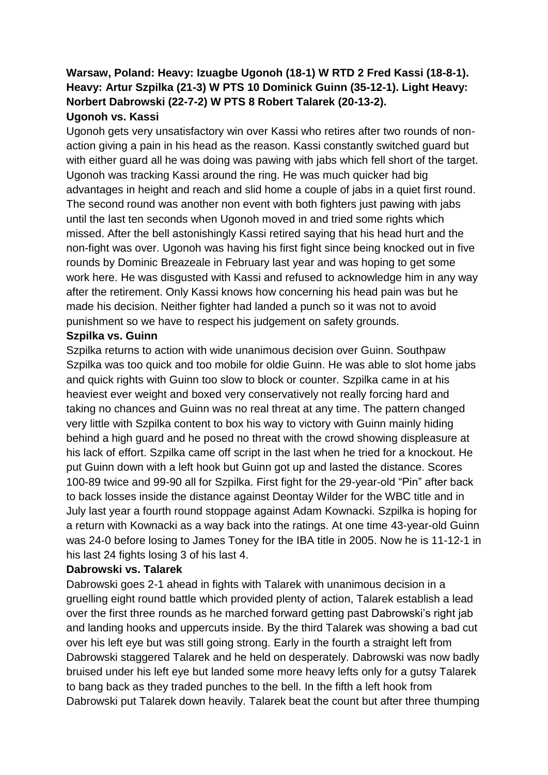#### **Warsaw, Poland: Heavy: Izuagbe Ugonoh (18-1) W RTD 2 Fred Kassi (18-8-1). Heavy: Artur Szpilka (21-3) W PTS 10 Dominick Guinn (35-12-1). Light Heavy: Norbert Dabrowski (22-7-2) W PTS 8 Robert Talarek (20-13-2). Ugonoh vs. Kassi**

Ugonoh gets very unsatisfactory win over Kassi who retires after two rounds of nonaction giving a pain in his head as the reason. Kassi constantly switched guard but with either guard all he was doing was pawing with jabs which fell short of the target. Ugonoh was tracking Kassi around the ring. He was much quicker had big advantages in height and reach and slid home a couple of jabs in a quiet first round. The second round was another non event with both fighters just pawing with jabs until the last ten seconds when Ugonoh moved in and tried some rights which missed. After the bell astonishingly Kassi retired saying that his head hurt and the non-fight was over. Ugonoh was having his first fight since being knocked out in five rounds by Dominic Breazeale in February last year and was hoping to get some work here. He was disgusted with Kassi and refused to acknowledge him in any way after the retirement. Only Kassi knows how concerning his head pain was but he made his decision. Neither fighter had landed a punch so it was not to avoid punishment so we have to respect his judgement on safety grounds.

#### **Szpilka vs. Guinn**

Szpilka returns to action with wide unanimous decision over Guinn. Southpaw Szpilka was too quick and too mobile for oldie Guinn. He was able to slot home jabs and quick rights with Guinn too slow to block or counter. Szpilka came in at his heaviest ever weight and boxed very conservatively not really forcing hard and taking no chances and Guinn was no real threat at any time. The pattern changed very little with Szpilka content to box his way to victory with Guinn mainly hiding behind a high guard and he posed no threat with the crowd showing displeasure at his lack of effort. Szpilka came off script in the last when he tried for a knockout. He put Guinn down with a left hook but Guinn got up and lasted the distance. Scores 100-89 twice and 99-90 all for Szpilka. First fight for the 29-year-old "Pin" after back to back losses inside the distance against Deontay Wilder for the WBC title and in July last year a fourth round stoppage against Adam Kownacki. Szpilka is hoping for a return with Kownacki as a way back into the ratings. At one time 43-year-old Guinn was 24-0 before losing to James Toney for the IBA title in 2005. Now he is 11-12-1 in his last 24 fights losing 3 of his last 4.

#### **Dabrowski vs. Talarek**

Dabrowski goes 2-1 ahead in fights with Talarek with unanimous decision in a gruelling eight round battle which provided plenty of action, Talarek establish a lead over the first three rounds as he marched forward getting past Dabrowski's right jab and landing hooks and uppercuts inside. By the third Talarek was showing a bad cut over his left eye but was still going strong. Early in the fourth a straight left from Dabrowski staggered Talarek and he held on desperately. Dabrowski was now badly bruised under his left eye but landed some more heavy lefts only for a gutsy Talarek to bang back as they traded punches to the bell. In the fifth a left hook from Dabrowski put Talarek down heavily. Talarek beat the count but after three thumping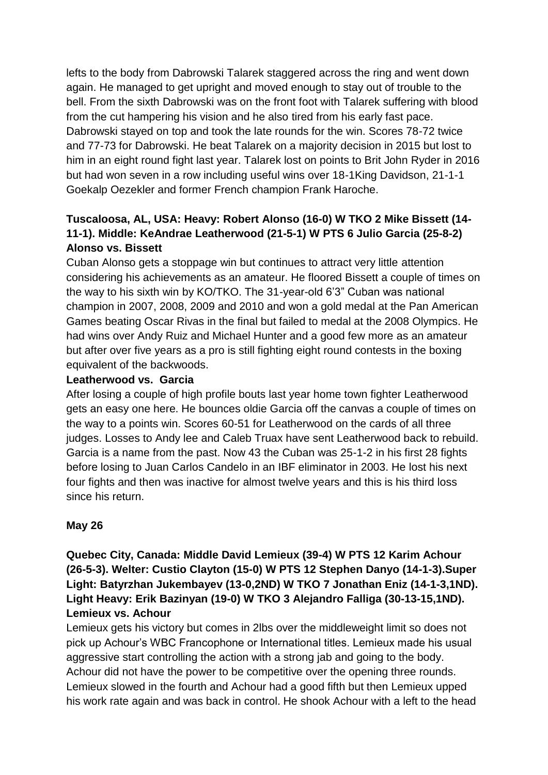lefts to the body from Dabrowski Talarek staggered across the ring and went down again. He managed to get upright and moved enough to stay out of trouble to the bell. From the sixth Dabrowski was on the front foot with Talarek suffering with blood from the cut hampering his vision and he also tired from his early fast pace. Dabrowski stayed on top and took the late rounds for the win. Scores 78-72 twice and 77-73 for Dabrowski. He beat Talarek on a majority decision in 2015 but lost to him in an eight round fight last year. Talarek lost on points to Brit John Ryder in 2016 but had won seven in a row including useful wins over 18-1King Davidson, 21-1-1 Goekalp Oezekler and former French champion Frank Haroche.

# **Tuscaloosa, AL, USA: Heavy: Robert Alonso (16-0) W TKO 2 Mike Bissett (14- 11-1). Middle: KeAndrae Leatherwood (21-5-1) W PTS 6 Julio Garcia (25-8-2) Alonso vs. Bissett**

Cuban Alonso gets a stoppage win but continues to attract very little attention considering his achievements as an amateur. He floored Bissett a couple of times on the way to his sixth win by KO/TKO. The 31-year-old 6'3" Cuban was national champion in 2007, 2008, 2009 and 2010 and won a gold medal at the Pan American Games beating Oscar Rivas in the final but failed to medal at the 2008 Olympics. He had wins over Andy Ruiz and Michael Hunter and a good few more as an amateur but after over five years as a pro is still fighting eight round contests in the boxing equivalent of the backwoods.

#### **Leatherwood vs. Garcia**

After losing a couple of high profile bouts last year home town fighter Leatherwood gets an easy one here. He bounces oldie Garcia off the canvas a couple of times on the way to a points win. Scores 60-51 for Leatherwood on the cards of all three judges. Losses to Andy lee and Caleb Truax have sent Leatherwood back to rebuild. Garcia is a name from the past. Now 43 the Cuban was 25-1-2 in his first 28 fights before losing to Juan Carlos Candelo in an IBF eliminator in 2003. He lost his next four fights and then was inactive for almost twelve years and this is his third loss since his return.

#### **May 26**

# **Quebec City, Canada: Middle David Lemieux (39-4) W PTS 12 Karim Achour (26-5-3). Welter: Custio Clayton (15-0) W PTS 12 Stephen Danyo (14-1-3).Super Light: Batyrzhan Jukembayev (13-0,2ND) W TKO 7 Jonathan Eniz (14-1-3,1ND). Light Heavy: Erik Bazinyan (19-0) W TKO 3 Alejandro Falliga (30-13-15,1ND). Lemieux vs. Achour**

Lemieux gets his victory but comes in 2lbs over the middleweight limit so does not pick up Achour's WBC Francophone or International titles. Lemieux made his usual aggressive start controlling the action with a strong jab and going to the body. Achour did not have the power to be competitive over the opening three rounds. Lemieux slowed in the fourth and Achour had a good fifth but then Lemieux upped his work rate again and was back in control. He shook Achour with a left to the head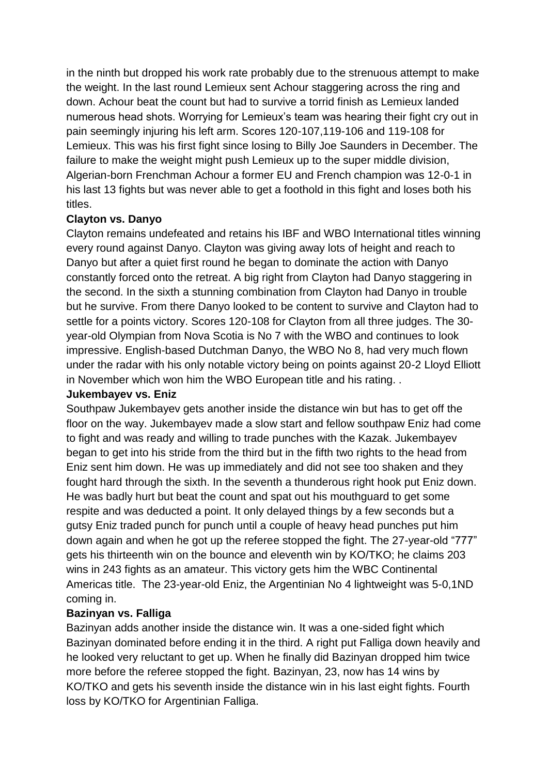in the ninth but dropped his work rate probably due to the strenuous attempt to make the weight. In the last round Lemieux sent Achour staggering across the ring and down. Achour beat the count but had to survive a torrid finish as Lemieux landed numerous head shots. Worrying for Lemieux's team was hearing their fight cry out in pain seemingly injuring his left arm. Scores 120-107,119-106 and 119-108 for Lemieux. This was his first fight since losing to Billy Joe Saunders in December. The failure to make the weight might push Lemieux up to the super middle division, Algerian-born Frenchman Achour a former EU and French champion was 12-0-1 in his last 13 fights but was never able to get a foothold in this fight and loses both his titles.

#### **Clayton vs. Danyo**

Clayton remains undefeated and retains his IBF and WBO International titles winning every round against Danyo. Clayton was giving away lots of height and reach to Danyo but after a quiet first round he began to dominate the action with Danyo constantly forced onto the retreat. A big right from Clayton had Danyo staggering in the second. In the sixth a stunning combination from Clayton had Danyo in trouble but he survive. From there Danyo looked to be content to survive and Clayton had to settle for a points victory. Scores 120-108 for Clayton from all three judges. The 30 year-old Olympian from Nova Scotia is No 7 with the WBO and continues to look impressive. English-based Dutchman Danyo, the WBO No 8, had very much flown under the radar with his only notable victory being on points against 20-2 Lloyd Elliott in November which won him the WBO European title and his rating. .

#### **Jukembayev vs. Eniz**

Southpaw Jukembayev gets another inside the distance win but has to get off the floor on the way. Jukembayev made a slow start and fellow southpaw Eniz had come to fight and was ready and willing to trade punches with the Kazak. Jukembayev began to get into his stride from the third but in the fifth two rights to the head from Eniz sent him down. He was up immediately and did not see too shaken and they fought hard through the sixth. In the seventh a thunderous right hook put Eniz down. He was badly hurt but beat the count and spat out his mouthguard to get some respite and was deducted a point. It only delayed things by a few seconds but a gutsy Eniz traded punch for punch until a couple of heavy head punches put him down again and when he got up the referee stopped the fight. The 27-year-old "777" gets his thirteenth win on the bounce and eleventh win by KO/TKO; he claims 203 wins in 243 fights as an amateur. This victory gets him the WBC Continental Americas title. The 23-year-old Eniz, the Argentinian No 4 lightweight was 5-0,1ND coming in.

#### **Bazinyan vs. Falliga**

Bazinyan adds another inside the distance win. It was a one-sided fight which Bazinyan dominated before ending it in the third. A right put Falliga down heavily and he looked very reluctant to get up. When he finally did Bazinyan dropped him twice more before the referee stopped the fight. Bazinyan, 23, now has 14 wins by KO/TKO and gets his seventh inside the distance win in his last eight fights. Fourth loss by KO/TKO for Argentinian Falliga.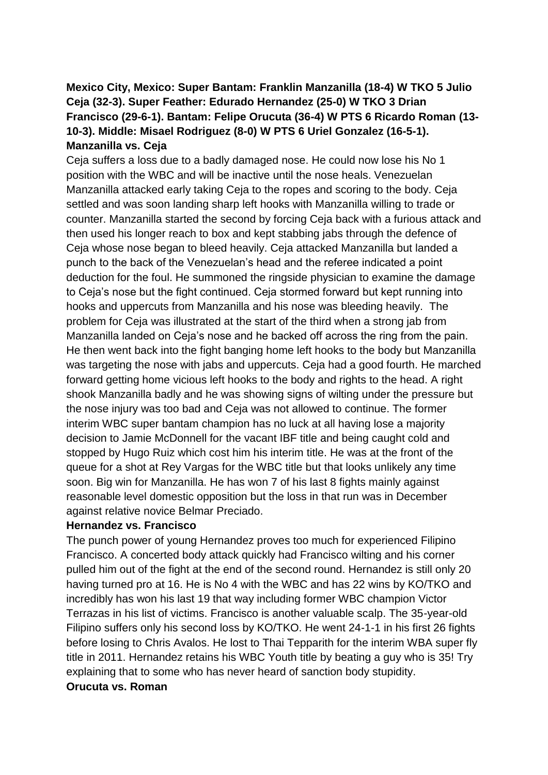# **Mexico City, Mexico: Super Bantam: Franklin Manzanilla (18-4) W TKO 5 Julio Ceja (32-3). Super Feather: Edurado Hernandez (25-0) W TKO 3 Drian Francisco (29-6-1). Bantam: Felipe Orucuta (36-4) W PTS 6 Ricardo Roman (13- 10-3). Middle: Misael Rodriguez (8-0) W PTS 6 Uriel Gonzalez (16-5-1). Manzanilla vs. Ceja**

Ceja suffers a loss due to a badly damaged nose. He could now lose his No 1 position with the WBC and will be inactive until the nose heals. Venezuelan Manzanilla attacked early taking Ceja to the ropes and scoring to the body. Ceja settled and was soon landing sharp left hooks with Manzanilla willing to trade or counter. Manzanilla started the second by forcing Ceja back with a furious attack and then used his longer reach to box and kept stabbing jabs through the defence of Ceja whose nose began to bleed heavily. Ceja attacked Manzanilla but landed a punch to the back of the Venezuelan's head and the referee indicated a point deduction for the foul. He summoned the ringside physician to examine the damage to Ceja's nose but the fight continued. Ceja stormed forward but kept running into hooks and uppercuts from Manzanilla and his nose was bleeding heavily. The problem for Ceja was illustrated at the start of the third when a strong jab from Manzanilla landed on Ceja's nose and he backed off across the ring from the pain. He then went back into the fight banging home left hooks to the body but Manzanilla was targeting the nose with jabs and uppercuts. Ceja had a good fourth. He marched forward getting home vicious left hooks to the body and rights to the head. A right shook Manzanilla badly and he was showing signs of wilting under the pressure but the nose injury was too bad and Ceja was not allowed to continue. The former interim WBC super bantam champion has no luck at all having lose a majority decision to Jamie McDonnell for the vacant IBF title and being caught cold and stopped by Hugo Ruiz which cost him his interim title. He was at the front of the queue for a shot at Rey Vargas for the WBC title but that looks unlikely any time soon. Big win for Manzanilla. He has won 7 of his last 8 fights mainly against reasonable level domestic opposition but the loss in that run was in December against relative novice Belmar Preciado.

#### **Hernandez vs. Francisco**

The punch power of young Hernandez proves too much for experienced Filipino Francisco. A concerted body attack quickly had Francisco wilting and his corner pulled him out of the fight at the end of the second round. Hernandez is still only 20 having turned pro at 16. He is No 4 with the WBC and has 22 wins by KO/TKO and incredibly has won his last 19 that way including former WBC champion Victor Terrazas in his list of victims. Francisco is another valuable scalp. The 35-year-old Filipino suffers only his second loss by KO/TKO. He went 24-1-1 in his first 26 fights before losing to Chris Avalos. He lost to Thai Tepparith for the interim WBA super fly title in 2011. Hernandez retains his WBC Youth title by beating a guy who is 35! Try explaining that to some who has never heard of sanction body stupidity.

#### **Orucuta vs. Roman**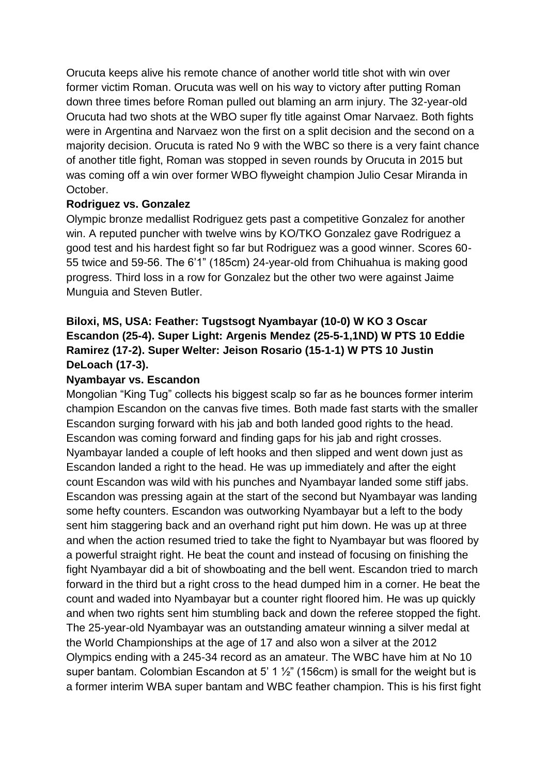Orucuta keeps alive his remote chance of another world title shot with win over former victim Roman. Orucuta was well on his way to victory after putting Roman down three times before Roman pulled out blaming an arm injury. The 32-year-old Orucuta had two shots at the WBO super fly title against Omar Narvaez. Both fights were in Argentina and Narvaez won the first on a split decision and the second on a majority decision. Orucuta is rated No 9 with the WBC so there is a very faint chance of another title fight, Roman was stopped in seven rounds by Orucuta in 2015 but was coming off a win over former WBO flyweight champion Julio Cesar Miranda in October.

#### **Rodriguez vs. Gonzalez**

Olympic bronze medallist Rodriguez gets past a competitive Gonzalez for another win. A reputed puncher with twelve wins by KO/TKO Gonzalez gave Rodriguez a good test and his hardest fight so far but Rodriguez was a good winner. Scores 60- 55 twice and 59-56. The 6'1" (185cm) 24-year-old from Chihuahua is making good progress. Third loss in a row for Gonzalez but the other two were against Jaime Munguia and Steven Butler.

# **Biloxi, MS, USA: Feather: Tugstsogt Nyambayar (10-0) W KO 3 Oscar Escandon (25-4). Super Light: Argenis Mendez (25-5-1,1ND) W PTS 10 Eddie Ramirez (17-2). Super Welter: Jeison Rosario (15-1-1) W PTS 10 Justin DeLoach (17-3).**

#### **Nyambayar vs. Escandon**

Mongolian "King Tug" collects his biggest scalp so far as he bounces former interim champion Escandon on the canvas five times. Both made fast starts with the smaller Escandon surging forward with his jab and both landed good rights to the head. Escandon was coming forward and finding gaps for his jab and right crosses. Nyambayar landed a couple of left hooks and then slipped and went down just as Escandon landed a right to the head. He was up immediately and after the eight count Escandon was wild with his punches and Nyambayar landed some stiff jabs. Escandon was pressing again at the start of the second but Nyambayar was landing some hefty counters. Escandon was outworking Nyambayar but a left to the body sent him staggering back and an overhand right put him down. He was up at three and when the action resumed tried to take the fight to Nyambayar but was floored by a powerful straight right. He beat the count and instead of focusing on finishing the fight Nyambayar did a bit of showboating and the bell went. Escandon tried to march forward in the third but a right cross to the head dumped him in a corner. He beat the count and waded into Nyambayar but a counter right floored him. He was up quickly and when two rights sent him stumbling back and down the referee stopped the fight. The 25-year-old Nyambayar was an outstanding amateur winning a silver medal at the World Championships at the age of 17 and also won a silver at the 2012 Olympics ending with a 245-34 record as an amateur. The WBC have him at No 10 super bantam. Colombian Escandon at 5' 1  $\frac{1}{2}$ " (156cm) is small for the weight but is a former interim WBA super bantam and WBC feather champion. This is his first fight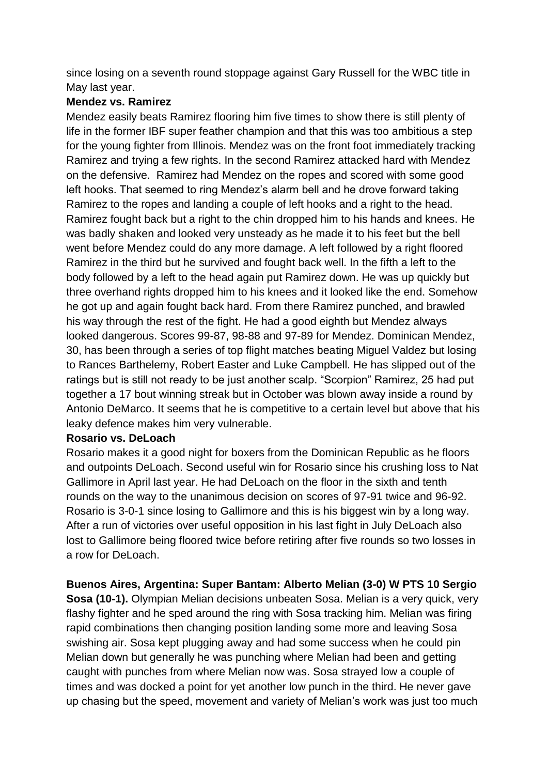since losing on a seventh round stoppage against Gary Russell for the WBC title in May last year.

### **Mendez vs. Ramirez**

Mendez easily beats Ramirez flooring him five times to show there is still plenty of life in the former IBF super feather champion and that this was too ambitious a step for the young fighter from Illinois. Mendez was on the front foot immediately tracking Ramirez and trying a few rights. In the second Ramirez attacked hard with Mendez on the defensive. Ramirez had Mendez on the ropes and scored with some good left hooks. That seemed to ring Mendez's alarm bell and he drove forward taking Ramirez to the ropes and landing a couple of left hooks and a right to the head. Ramirez fought back but a right to the chin dropped him to his hands and knees. He was badly shaken and looked very unsteady as he made it to his feet but the bell went before Mendez could do any more damage. A left followed by a right floored Ramirez in the third but he survived and fought back well. In the fifth a left to the body followed by a left to the head again put Ramirez down. He was up quickly but three overhand rights dropped him to his knees and it looked like the end. Somehow he got up and again fought back hard. From there Ramirez punched, and brawled his way through the rest of the fight. He had a good eighth but Mendez always looked dangerous. Scores 99-87, 98-88 and 97-89 for Mendez. Dominican Mendez, 30, has been through a series of top flight matches beating Miguel Valdez but losing to Rances Barthelemy, Robert Easter and Luke Campbell. He has slipped out of the ratings but is still not ready to be just another scalp. "Scorpion" Ramirez, 25 had put together a 17 bout winning streak but in October was blown away inside a round by Antonio DeMarco. It seems that he is competitive to a certain level but above that his leaky defence makes him very vulnerable.

#### **Rosario vs. DeLoach**

Rosario makes it a good night for boxers from the Dominican Republic as he floors and outpoints DeLoach. Second useful win for Rosario since his crushing loss to Nat Gallimore in April last year. He had DeLoach on the floor in the sixth and tenth rounds on the way to the unanimous decision on scores of 97-91 twice and 96-92. Rosario is 3-0-1 since losing to Gallimore and this is his biggest win by a long way. After a run of victories over useful opposition in his last fight in July DeLoach also lost to Gallimore being floored twice before retiring after five rounds so two losses in a row for DeLoach.

**Buenos Aires, Argentina: Super Bantam: Alberto Melian (3-0) W PTS 10 Sergio Sosa (10-1).** Olympian Melian decisions unbeaten Sosa. Melian is a very quick, very flashy fighter and he sped around the ring with Sosa tracking him. Melian was firing rapid combinations then changing position landing some more and leaving Sosa swishing air. Sosa kept plugging away and had some success when he could pin Melian down but generally he was punching where Melian had been and getting caught with punches from where Melian now was. Sosa strayed low a couple of times and was docked a point for yet another low punch in the third. He never gave up chasing but the speed, movement and variety of Melian's work was just too much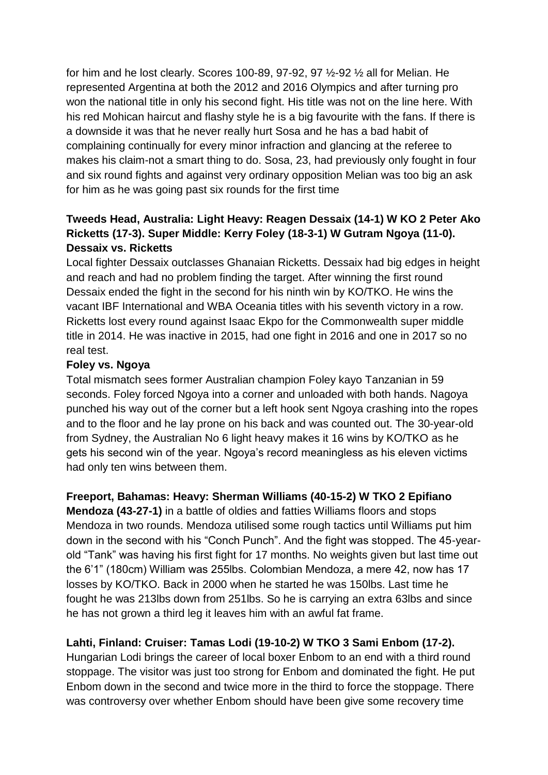for him and he lost clearly. Scores 100-89, 97-92, 97 ½-92 ½ all for Melian. He represented Argentina at both the 2012 and 2016 Olympics and after turning pro won the national title in only his second fight. His title was not on the line here. With his red Mohican haircut and flashy style he is a big favourite with the fans. If there is a downside it was that he never really hurt Sosa and he has a bad habit of complaining continually for every minor infraction and glancing at the referee to makes his claim-not a smart thing to do. Sosa, 23, had previously only fought in four and six round fights and against very ordinary opposition Melian was too big an ask for him as he was going past six rounds for the first time

# **Tweeds Head, Australia: Light Heavy: Reagen Dessaix (14-1) W KO 2 Peter Ako Ricketts (17-3). Super Middle: Kerry Foley (18-3-1) W Gutram Ngoya (11-0). Dessaix vs. Ricketts**

Local fighter Dessaix outclasses Ghanaian Ricketts. Dessaix had big edges in height and reach and had no problem finding the target. After winning the first round Dessaix ended the fight in the second for his ninth win by KO/TKO. He wins the vacant IBF International and WBA Oceania titles with his seventh victory in a row. Ricketts lost every round against Isaac Ekpo for the Commonwealth super middle title in 2014. He was inactive in 2015, had one fight in 2016 and one in 2017 so no real test.

#### **Foley vs. Ngoya**

Total mismatch sees former Australian champion Foley kayo Tanzanian in 59 seconds. Foley forced Ngoya into a corner and unloaded with both hands. Nagoya punched his way out of the corner but a left hook sent Ngoya crashing into the ropes and to the floor and he lay prone on his back and was counted out. The 30-year-old from Sydney, the Australian No 6 light heavy makes it 16 wins by KO/TKO as he gets his second win of the year. Ngoya's record meaningless as his eleven victims had only ten wins between them.

#### **Freeport, Bahamas: Heavy: Sherman Williams (40-15-2) W TKO 2 Epifiano**

**Mendoza (43-27-1)** in a battle of oldies and fatties Williams floors and stops Mendoza in two rounds. Mendoza utilised some rough tactics until Williams put him down in the second with his "Conch Punch". And the fight was stopped. The 45-yearold "Tank" was having his first fight for 17 months. No weights given but last time out the 6'1" (180cm) William was 255lbs. Colombian Mendoza, a mere 42, now has 17 losses by KO/TKO. Back in 2000 when he started he was 150lbs. Last time he fought he was 213lbs down from 251lbs. So he is carrying an extra 63lbs and since he has not grown a third leg it leaves him with an awful fat frame.

#### **Lahti, Finland: Cruiser: Tamas Lodi (19-10-2) W TKO 3 Sami Enbom (17-2).**

Hungarian Lodi brings the career of local boxer Enbom to an end with a third round stoppage. The visitor was just too strong for Enbom and dominated the fight. He put Enbom down in the second and twice more in the third to force the stoppage. There was controversy over whether Enbom should have been give some recovery time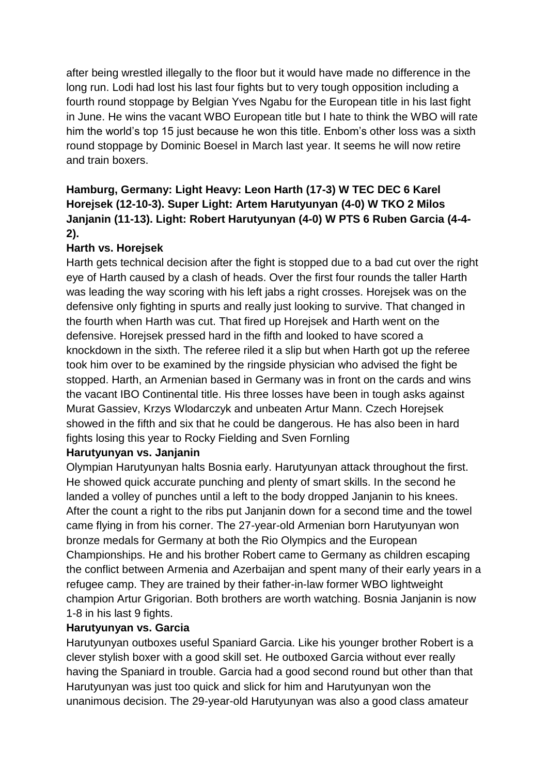after being wrestled illegally to the floor but it would have made no difference in the long run. Lodi had lost his last four fights but to very tough opposition including a fourth round stoppage by Belgian Yves Ngabu for the European title in his last fight in June. He wins the vacant WBO European title but I hate to think the WBO will rate him the world's top 15 just because he won this title. Enbom's other loss was a sixth round stoppage by Dominic Boesel in March last year. It seems he will now retire and train boxers.

# **Hamburg, Germany: Light Heavy: Leon Harth (17-3) W TEC DEC 6 Karel Horejsek (12-10-3). Super Light: Artem Harutyunyan (4-0) W TKO 2 Milos Janjanin (11-13). Light: Robert Harutyunyan (4-0) W PTS 6 Ruben Garcia (4-4- 2).**

# **Harth vs. Horejsek**

Harth gets technical decision after the fight is stopped due to a bad cut over the right eye of Harth caused by a clash of heads. Over the first four rounds the taller Harth was leading the way scoring with his left jabs a right crosses. Horejsek was on the defensive only fighting in spurts and really just looking to survive. That changed in the fourth when Harth was cut. That fired up Horejsek and Harth went on the defensive. Horejsek pressed hard in the fifth and looked to have scored a knockdown in the sixth. The referee riled it a slip but when Harth got up the referee took him over to be examined by the ringside physician who advised the fight be stopped. Harth, an Armenian based in Germany was in front on the cards and wins the vacant IBO Continental title. His three losses have been in tough asks against Murat Gassiev, Krzys Wlodarczyk and unbeaten Artur Mann. Czech Horejsek showed in the fifth and six that he could be dangerous. He has also been in hard fights losing this year to Rocky Fielding and Sven Fornling

# **Harutyunyan vs. Janjanin**

Olympian Harutyunyan halts Bosnia early. Harutyunyan attack throughout the first. He showed quick accurate punching and plenty of smart skills. In the second he landed a volley of punches until a left to the body dropped Janjanin to his knees. After the count a right to the ribs put Janjanin down for a second time and the towel came flying in from his corner. The 27-year-old Armenian born Harutyunyan won bronze medals for Germany at both the Rio Olympics and the European Championships. He and his brother Robert came to Germany as children escaping the conflict between Armenia and Azerbaijan and spent many of their early years in a refugee camp. They are trained by their father-in-law former WBO lightweight champion Artur Grigorian. Both brothers are worth watching. Bosnia Janjanin is now 1-8 in his last 9 fights.

# **Harutyunyan vs. Garcia**

Harutyunyan outboxes useful Spaniard Garcia. Like his younger brother Robert is a clever stylish boxer with a good skill set. He outboxed Garcia without ever really having the Spaniard in trouble. Garcia had a good second round but other than that Harutyunyan was just too quick and slick for him and Harutyunyan won the unanimous decision. The 29-year-old Harutyunyan was also a good class amateur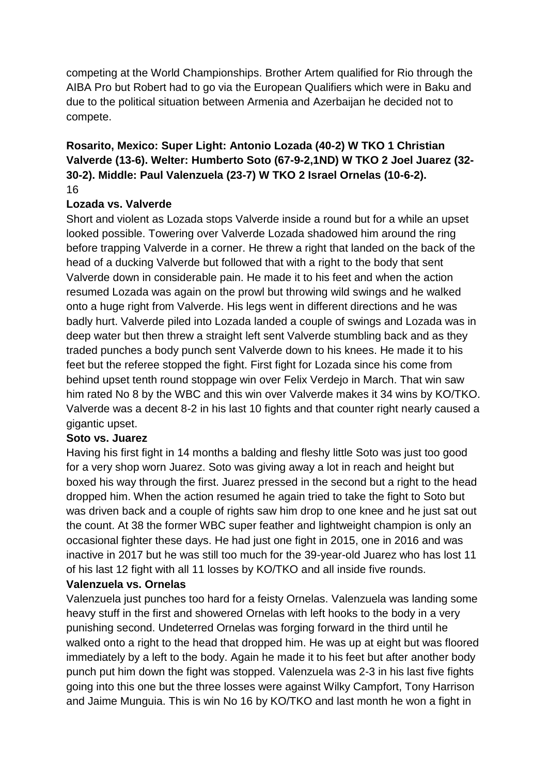competing at the World Championships. Brother Artem qualified for Rio through the AIBA Pro but Robert had to go via the European Qualifiers which were in Baku and due to the political situation between Armenia and Azerbaijan he decided not to compete.

# **Rosarito, Mexico: Super Light: Antonio Lozada (40-2) W TKO 1 Christian Valverde (13-6). Welter: Humberto Soto (67-9-2,1ND) W TKO 2 Joel Juarez (32- 30-2). Middle: Paul Valenzuela (23-7) W TKO 2 Israel Ornelas (10-6-2).** 16

#### **Lozada vs. Valverde**

Short and violent as Lozada stops Valverde inside a round but for a while an upset looked possible. Towering over Valverde Lozada shadowed him around the ring before trapping Valverde in a corner. He threw a right that landed on the back of the head of a ducking Valverde but followed that with a right to the body that sent Valverde down in considerable pain. He made it to his feet and when the action resumed Lozada was again on the prowl but throwing wild swings and he walked onto a huge right from Valverde. His legs went in different directions and he was badly hurt. Valverde piled into Lozada landed a couple of swings and Lozada was in deep water but then threw a straight left sent Valverde stumbling back and as they traded punches a body punch sent Valverde down to his knees. He made it to his feet but the referee stopped the fight. First fight for Lozada since his come from behind upset tenth round stoppage win over Felix Verdejo in March. That win saw him rated No 8 by the WBC and this win over Valverde makes it 34 wins by KO/TKO. Valverde was a decent 8-2 in his last 10 fights and that counter right nearly caused a gigantic upset.

#### **Soto vs. Juarez**

Having his first fight in 14 months a balding and fleshy little Soto was just too good for a very shop worn Juarez. Soto was giving away a lot in reach and height but boxed his way through the first. Juarez pressed in the second but a right to the head dropped him. When the action resumed he again tried to take the fight to Soto but was driven back and a couple of rights saw him drop to one knee and he just sat out the count. At 38 the former WBC super feather and lightweight champion is only an occasional fighter these days. He had just one fight in 2015, one in 2016 and was inactive in 2017 but he was still too much for the 39-year-old Juarez who has lost 11 of his last 12 fight with all 11 losses by KO/TKO and all inside five rounds.

# **Valenzuela vs. Ornelas**

Valenzuela just punches too hard for a feisty Ornelas. Valenzuela was landing some heavy stuff in the first and showered Ornelas with left hooks to the body in a very punishing second. Undeterred Ornelas was forging forward in the third until he walked onto a right to the head that dropped him. He was up at eight but was floored immediately by a left to the body. Again he made it to his feet but after another body punch put him down the fight was stopped. Valenzuela was 2-3 in his last five fights going into this one but the three losses were against Wilky Campfort, Tony Harrison and Jaime Munguia. This is win No 16 by KO/TKO and last month he won a fight in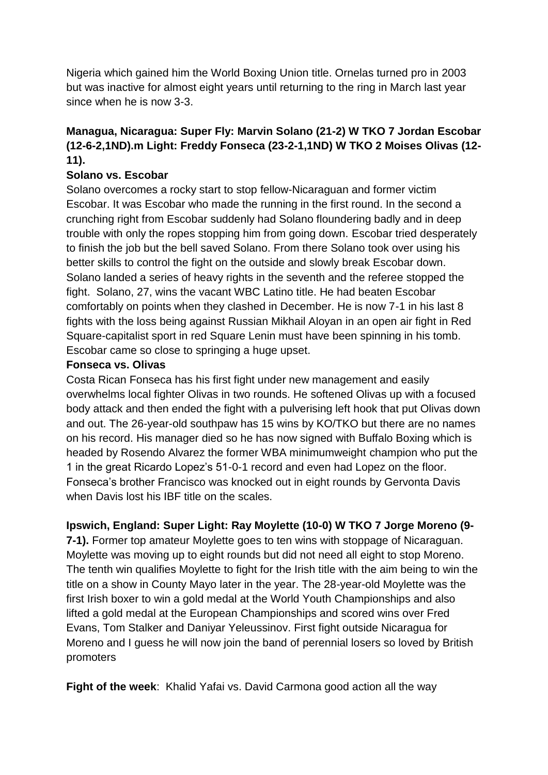Nigeria which gained him the World Boxing Union title. Ornelas turned pro in 2003 but was inactive for almost eight years until returning to the ring in March last year since when he is now 3-3.

# **Managua, Nicaragua: Super Fly: Marvin Solano (21-2) W TKO 7 Jordan Escobar (12-6-2,1ND).m Light: Freddy Fonseca (23-2-1,1ND) W TKO 2 Moises Olivas (12- 11).**

### **Solano vs. Escobar**

Solano overcomes a rocky start to stop fellow-Nicaraguan and former victim Escobar. It was Escobar who made the running in the first round. In the second a crunching right from Escobar suddenly had Solano floundering badly and in deep trouble with only the ropes stopping him from going down. Escobar tried desperately to finish the job but the bell saved Solano. From there Solano took over using his better skills to control the fight on the outside and slowly break Escobar down. Solano landed a series of heavy rights in the seventh and the referee stopped the fight. Solano, 27, wins the vacant WBC Latino title. He had beaten Escobar comfortably on points when they clashed in December. He is now 7-1 in his last 8 fights with the loss being against Russian Mikhail Aloyan in an open air fight in Red Square-capitalist sport in red Square Lenin must have been spinning in his tomb. Escobar came so close to springing a huge upset.

#### **Fonseca vs. Olivas**

Costa Rican Fonseca has his first fight under new management and easily overwhelms local fighter Olivas in two rounds. He softened Olivas up with a focused body attack and then ended the fight with a pulverising left hook that put Olivas down and out. The 26-year-old southpaw has 15 wins by KO/TKO but there are no names on his record. His manager died so he has now signed with Buffalo Boxing which is headed by Rosendo Alvarez the former WBA minimumweight champion who put the 1 in the great Ricardo Lopez's 51-0-1 record and even had Lopez on the floor. Fonseca's brother Francisco was knocked out in eight rounds by Gervonta Davis when Davis lost his IBF title on the scales.

#### **Ipswich, England: Super Light: Ray Moylette (10-0) W TKO 7 Jorge Moreno (9-**

**7-1).** Former top amateur Moylette goes to ten wins with stoppage of Nicaraguan. Moylette was moving up to eight rounds but did not need all eight to stop Moreno. The tenth win qualifies Moylette to fight for the Irish title with the aim being to win the title on a show in County Mayo later in the year. The 28-year-old Moylette was the first Irish boxer to win a gold medal at the World Youth Championships and also lifted a gold medal at the European Championships and scored wins over Fred Evans, Tom Stalker and Daniyar Yeleussinov. First fight outside Nicaragua for Moreno and I guess he will now join the band of perennial losers so loved by British promoters

**Fight of the week**: Khalid Yafai vs. David Carmona good action all the way